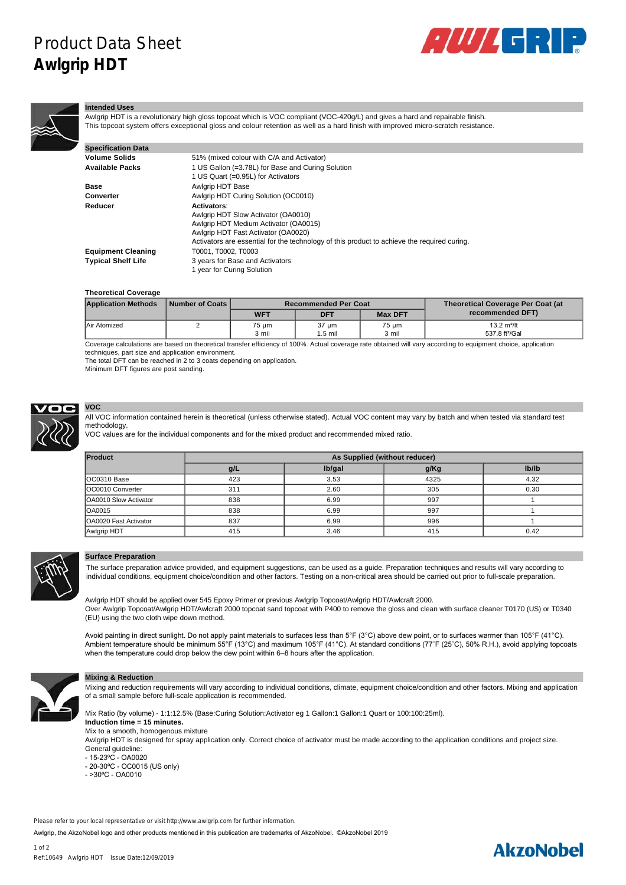# Product Data Sheet **Awlgrip HDT**





#### **Intended Uses**

Awlgrip HDT is a revolutionary high gloss topcoat which is VOC compliant (VOC-420g/L) and gives a hard and repairable finish. This topcoat system offers exceptional gloss and colour retention as well as a hard finish with improved micro-scratch resistance.

| <b>Specification Data</b> |                                                                                                                                                                                                                                          |
|---------------------------|------------------------------------------------------------------------------------------------------------------------------------------------------------------------------------------------------------------------------------------|
| Volume Solids             | 51% (mixed colour with C/A and Activator)                                                                                                                                                                                                |
| Available Packs           | 1 US Gallon (=3.78L) for Base and Curing Solution<br>1 US Quart (=0.95L) for Activators                                                                                                                                                  |
| Base                      | Awlgrip HDT Base                                                                                                                                                                                                                         |
| Converter                 | Awlgrip HDT Curing Solution (OC0010)                                                                                                                                                                                                     |
| Reducer                   | <b>Activators:</b><br>Awlgrip HDT Slow Activator (OA0010)<br>Awlgrip HDT Medium Activator (OA0015)<br>Awlgrip HDT Fast Activator (OA0020)<br>Activators are essential for the technology of this product to achieve the required curing. |
| <b>Equipment Cleaning</b> | T0001, T0002, T0003                                                                                                                                                                                                                      |
| <b>Typical Shelf Life</b> | 3 years for Base and Activators<br>1 year for Curing Solution                                                                                                                                                                            |

## **Theoretical Coverage**

| <b>Application Methods</b> | Number of Coats I |            | <b>Recommended Per Coat</b> | <b>Theoretical Coverage Per Coat (at</b> |                            |  |  |
|----------------------------|-------------------|------------|-----------------------------|------------------------------------------|----------------------------|--|--|
|                            |                   | <b>WFT</b> | <b>DFT</b>                  | <b>Max DFT</b>                           | recommended DFT)           |  |  |
| Air Atomized               |                   | 75 um      | $37 \mu m$                  | 75 µm                                    | 13.2 $m^2/lt$              |  |  |
|                            |                   | 3 mil      | .5 mil                      | 3 mil                                    | 537.8 ft <sup>2</sup> /Gal |  |  |

Coverage calculations are based on theoretical transfer efficiency of 100%. Actual coverage rate obtained will vary according to equipment choice, application techniques, part size and application environment.

The total DFT can be reached in 2 to 3 coats depending on application.

Minimum DFT figures are post sanding.



## **VOC**

All VOC information contained herein is theoretical (unless otherwise stated). Actual VOC content may vary by batch and when tested via standard test methodology.

VOC values are for the individual components and for the mixed product and recommended mixed ratio.

| Product                       | As Supplied (without reducer) |        |      |       |  |  |  |
|-------------------------------|-------------------------------|--------|------|-------|--|--|--|
|                               | g/L                           | lb/gal | g/Kg | Ib/Ib |  |  |  |
| IOC0310 Base                  | 423                           | 3.53   | 4325 | 4.32  |  |  |  |
| OC0010 Converter              | 311                           | 2.60   | 305  | 0.30  |  |  |  |
| <b>OA0010 Slow Activator</b>  | 838                           | 6.99   | 997  |       |  |  |  |
| <b>OA0015</b>                 | 838                           | 6.99   | 997  |       |  |  |  |
| <b>IOA0020 Fast Activator</b> | 837                           | 6.99   | 996  |       |  |  |  |
| Awlgrip HDT                   | 415                           | 3.46   | 415  | 0.42  |  |  |  |



## **Surface Preparation**

The surface preparation advice provided, and equipment suggestions, can be used as a guide. Preparation techniques and results will vary according to individual conditions, equipment choice/condition and other factors. Testing on a non-critical area should be carried out prior to full-scale preparation.

Awlgrip HDT should be applied over 545 Epoxy Primer or previous Awlgrip Topcoat/Awlgrip HDT/Awlcraft 2000. Over Awlgrip Topcoat/Awlgrip HDT/Awlcraft 2000 topcoat sand topcoat with P400 to remove the gloss and clean with surface cleaner T0170 (US) or T0340 (EU) using the two cloth wipe down method.

Avoid painting in direct sunlight. Do not apply paint materials to surfaces less than 5°F (3°C) above dew point, or to surfaces warmer than 105°F (41°C). Ambient temperature should be minimum 55°F (13°C) and maximum 105°F (41°C). At standard conditions (77˚F (25˚C), 50% R.H.), avoid applying topcoats when the temperature could drop below the dew point within 6–8 hours after the application.



## **Mixing & Reduction**

Mixing and reduction requirements will vary according to individual conditions, climate, equipment choice/condition and other factors. Mixing and application of a small sample before full-scale application is recommended.

Mix Ratio (by volume) - 1:1:12.5% (Base:Curing Solution:Activator eg 1 Gallon:1 Gallon:1 Quart or 100:100:25ml). **Induction time = 15 minutes.** Mix to a smooth, homogenous mixture Awlgrip HDT is designed for spray application only. Correct choice of activator must be made according to the application conditions and project size.

- General guideline:
- $-15-23^{\circ}C OA0020$
- 20-30°C OC0015 (US only)
- $>30$ °C  $-$  OA0010

Please refer to your local representative or visit http://www.awlgrip.com for further information.

Awlgrip, the AkzoNobel logo and other products mentioned in this publication are trademarks of AkzoNobel. ©AkzoNobel 2019